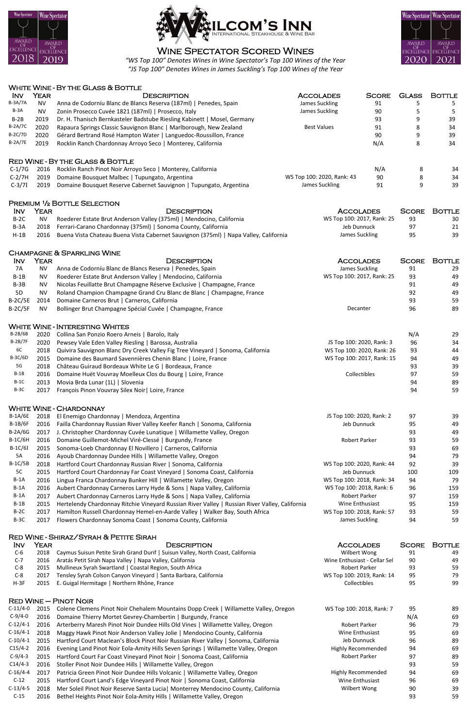## Wine Spectator Scored Wines



*"WS Top 100" Denotes Wines in Wine Spectator's Top 100 Wines of the Year "JS Top 100" Denotes Wines in James Suckling's Top 100 Wines of the Year* 





| <b>INV</b> | <b>YEAR</b> | DESCRIPTION                                                                         | <b>ACCOLADES</b>             | <b>SCORE</b> | <b>BOTTLE</b> |
|------------|-------------|-------------------------------------------------------------------------------------|------------------------------|--------------|---------------|
| $C-6$      | 2018        | Caymus Suisun Petite Sirah Grand Durif   Suisun Valley, North Coast, California     | Wilbert Wong                 | 91           | 49            |
| $C-7$      | 2016        | Aratás Petit Sirah Napa Valley   Napa Valley, California                            | Wine Enthusiast - Cellar Sel | 90           | 49            |
| $C-8$      | 2015        | Mullineux Syrah Swartland   Coastal Region, South Africa                            | Robert Parker                | 93           | 59            |
| $C-8$      | 2017        | Tensley Syrah Colson Canyon Vineyard   Santa Barbara, California                    | WS Top 100: 2019, Rank: 14   | 95           | 79            |
| $H-3F$     | 2015        | E. Guigal Hermitage   Northern Rhône, France                                        | Collectibles                 | 95           | 99            |
|            |             | $RED$ WINE $-$ PINOT NOIR                                                           |                              |              |               |
| $C-11/4-0$ | 2015        | Colene Clemens Pinot Noir Chehalem Mountains Dopp Creek   Willamette Valley, Oregon | WS Top 100: 2018, Rank: 7    | 95           | -89           |
| $C-9/4-0$  | 2016        | Domaine Thierry Mortet Gevrey-Chambertin   Burgundy, France                         |                              | N/A          | 69            |
| $C-12/4-1$ | 2016        | Arterberry Maresh Pinot Noir Dundee Hills Old Vines   Willamette Valley, Oregon     | Robert Parker                | 96           | 79            |
| $C-16/4-1$ | 2018        | Maggy Hawk Pinot Noir Anderson Valley Jolie   Mendocino County, California          | Wine Enthusiast              | 95           | 69            |
| $C-10/4-1$ | 2015        | Hartford Court Maclean's Block Pinot Noir Russian River Valley   Sonoma, California | Jeb Dunnuck                  | 96           | 89            |
| $C15/4-2$  | 2016        | Evening Land Pinot Noir Eola-Amity Hills Seven Springs   Willamette Valley, Oregon  | <b>Highly Recommended</b>    | 94           | 69            |
| $C-9/4-3$  | 2015        | Hartford Court Far Coast Vineyard Pinot Noir   Sonoma Coast, California             | <b>Robert Parker</b>         | 97           | 89            |
| $C14/4-3$  | 2016        | Stoller Pinot Noir Dundee Hills   Willamette Valley, Oregon                         |                              | 93           | 59            |
| $C-16/4-4$ | 2017        | Patricia Green Pinot Noir Dundee Hills Volcanic   Willamette Valley, Oregon         | Highly Recommended           | 94           | 69            |
| $C-12$     | 2015        | Hartford Court Land's Edge Vineyard Pinot Noir   Sonoma Coast, California           | Wine Enthusiast              | 96           | 69            |
| $C-13/4-5$ | 2018        | Mer Soleil Pinot Noir Reserve Santa Lucia   Monterrey Mendocino County, California  | Wilbert Wong                 | 90           | 39            |
| $C-15$     | 2016        | Bethel Heights Pinot Noir Eola-Amity Hills   Willamette Valley, Oregon              |                              | 93           | 59            |
|            |             |                                                                                     |                              |              |               |

|                 |             | <b>WHITE WINE - BY THE GLASS &amp; BOTTLE</b>                                                  |                            |              |              |               |
|-----------------|-------------|------------------------------------------------------------------------------------------------|----------------------------|--------------|--------------|---------------|
| <b>INV</b>      | <b>YEAR</b> | <b>DESCRIPTION</b>                                                                             | <b>ACCOLADES</b>           | <b>SCORE</b> | <b>GLASS</b> | <b>BOTTLE</b> |
| <b>B-3A/7A</b>  | <b>NV</b>   | Anna de Codorníu Blanc de Blancs Reserva (187ml)   Penedes, Spain                              | James Suckling             | 91           | 5            | 5             |
| $B-3A$          | <b>NV</b>   | Zonin Prosecco Cuvée 1821 (187ml)   Prosecco, Italy                                            | James Suckling             | 90           | 5            | 5             |
| $B-2B$          | 2019        | Dr. H. Thanisch Bernkasteler Badstube Riesling Kabinett   Mosel, Germany                       |                            | 93           | 9            | 39            |
| <b>B-2A/7C</b>  | 2020        | Rapaura Springs Classic Sauvignon Blanc   Marlborough, New Zealand                             | <b>Best Values</b>         | 91           | 8            | 34            |
| <b>B-2C/7D</b>  | 2020        | Gérard Bertrand Rosé Hampton Water   Languedoc-Roussillon, France                              |                            | 90           | 9            | 39            |
| <b>B-2A/7E</b>  | 2019        | Rocklin Ranch Chardonnay Arroyo Seco   Monterey, California                                    |                            | N/A          | 8            | 34            |
|                 |             | <b>RED WINE - BY THE GLASS &amp; BOTTLE</b>                                                    |                            |              |              |               |
| $C-1/7G$        | 2016        | Rocklin Ranch Pinot Noir Arroyo Seco   Monterey, California                                    |                            | N/A          | 8            | 34            |
| $C-2/7H$        | 2019        | Domaine Bousquet Malbec   Tupungato, Argentina                                                 | WS Top 100: 2020, Rank: 43 | 90           | 8            | 34            |
| $C-3/7I$        | 2019        | Domaine Bousquet Reserve Cabernet Sauvignon   Tupungato, Argentina                             | James Suckling             | 91           | 9            | 39            |
|                 |             |                                                                                                |                            |              |              |               |
|                 |             | <b>PREMIUM 1/2 BOTTLE SELECTION</b>                                                            |                            |              |              |               |
| <b>INV</b>      | <b>YEAR</b> | <b>DESCRIPTION</b>                                                                             | <b>ACCOLADES</b>           |              | <b>SCORE</b> | <b>BOTTLE</b> |
| $B-2C$          | <b>NV</b>   | Roederer Estate Brut Anderson Valley (375ml)   Mendocino, California                           | WS Top 100: 2017, Rank: 25 |              | 93           | 30            |
| $B-3A$          | 2018        | Ferrari-Carano Chardonnay (375ml)   Sonoma County, California                                  | Jeb Dunnuck                |              | 97           | 21            |
| $H-1B$          | 2016        | Buena Vista Chateau Buena Vista Cabernet Sauvignon (375ml)   Napa Valley, California           | James Suckling             |              | 95           | 39            |
|                 |             | <b>CHAMPAGNE &amp; SPARKLING WINE</b>                                                          |                            |              |              |               |
| <b>INV</b>      | <b>YEAR</b> | <b>DESCRIPTION</b>                                                                             | <b>ACCOLADES</b>           |              | <b>SCORE</b> | <b>BOTTLE</b> |
| 7A              | <b>NV</b>   | Anna de Codorníu Blanc de Blancs Reserva   Penedes, Spain                                      | James Suckling             |              | 91           | 29            |
| $B-1B$          | <b>NV</b>   | Roederer Estate Brut Anderson Valley   Mendocino, California                                   | WS Top 100: 2017, Rank: 25 |              | 93           | 49            |
| $B-3B$          | <b>NV</b>   | Nicolas Feuillatte Brut Champagne Réserve Exclusive   Champagne, France                        |                            |              | 91           | 49            |
| 5 <sub>D</sub>  | <b>NV</b>   | Roland Champion Champagne Grand Cru Blanc de Blanc   Champagne, France                         |                            |              | 92           | 49            |
| $B-2C/5E$       | 2014        | Domaine Carneros Brut   Carneros, California                                                   |                            |              | 93           | 59            |
| $B-2C/5F$       | <b>NV</b>   | Bollinger Brut Champagne Spécial Cuvée   Champagne, France                                     | Decanter                   |              | 96           | 89            |
|                 |             |                                                                                                |                            |              |              |               |
|                 |             | <b>WHITE WINE - INTERESTING WHITES</b>                                                         |                            |              |              |               |
| <b>B-2B/6B</b>  | 2020        | Collina San Ponzio Roero Arneis   Barolo, Italy                                                |                            |              | N/A          | 29            |
| B-2B/7F         | 2020        | Pewsey Vale Eden Valley Riesling   Barossa, Australia                                          | JS Top 100: 2020, Rank: 3  |              | 96           | 34            |
| 6C              |             | 2018 Quivira Sauvignon Blanc Dry Creek Valley Fig Tree Vineyard   Sonoma, California           | WS Top 100: 2020, Rank: 26 |              | 93           | 44            |
| <b>B-3C/6D</b>  | 2015        | Domaine des Baumard Savennières Chenin Blanc   Loire, France                                   | WS Top 100: 2017, Rank: 15 |              | 94           | 49            |
| $5\,\mathrm{G}$ | 2018        | Château Guiraud Bordeaux White Le G   Bordeaux, France                                         |                            |              | 93           | 39            |
| $B-1B$          | 2016        | Domaine Huët Vouvray Moelleux Clos du Bourg   Loire, France                                    | Collectibles               |              | 97           | 59            |
| $B-1C$          | 2013        | Movia Brda Lunar (1L)   Slovenia                                                               |                            |              | 94           | 89            |
| $B-3C$          | 2017        | François Pinon Vouvray Silex Noir   Loire, France                                              |                            |              | 94           | 59            |
|                 |             | <b>WHITE WINE - CHARDONNAY</b>                                                                 |                            |              |              |               |
| <b>B-1A/6E</b>  | 2018        | El Enemigo Chardonnay   Mendoza, Argentina                                                     | JS Top 100: 2020, Rank: 2  |              | 97           | 39            |
| $B-1B/6F$       | 2016        | Failla Chardonnay Russian River Valley Keefer Ranch   Sonoma, California                       | Jeb Dunnuck                |              | 95           | 49            |
| <b>B-2A/6G</b>  | 2017        | J. Christopher Chardonnay Cuvée Lunatique   Willamette Valley, Oregon                          |                            |              | 93           | 49            |
| <b>B-1C/6H</b>  | 2016        | Domaine Guillemot-Michel Viré-Clessé   Burgundy, France                                        | Robert Parker              |              | 93           | 59            |
| $B-1C/6I$       | 2015        | Sonoma-Loeb Chardonnay El Novillero   Carneros, California                                     |                            |              | 93           | 69            |
| 5A              | 2016        | Ayoub Chardonnay Dundee Hills   Willamette Valley, Oregon                                      |                            |              | 94           | 79            |
| $B-1C/5B$       | 2018        | Hartford Court Chardonnay Russian River   Sonoma, California                                   | WS Top 100: 2020, Rank: 44 |              | 92           | 39            |
| 5C              | 2015        | Hartford Court Chardonnay Far Coast Vineyard   Sonoma Coast, California                        | Jeb Dunnuck                |              | 100          | 109           |
| $B-1A$          | 2016        | Lingua Franca Chardonnay Bunker Hill   Willamette Valley, Oregon                               | WS Top 100: 2018, Rank: 34 |              | 94           | 79            |
| $B-1A$          | 2016        | Aubert Chardonnay Carneros Larry Hyde & Sons   Napa Valley, California                         | WS Top 100: 2018, Rank: 6  |              | 96           | 159           |
| $B-1A$          | 2017        | Aubert Chardonnay Carneros Larry Hyde & Sons   Napa Valley, California                         | Robert Parker              |              | 97           | 159           |
| $B-1B$          | 2015        | Hertelendy Chardonnay Ritchie Vineyard Russian River Valley   Russian River Valley, California | Wine Enthusiast            |              | 95           | 159           |
| $B-2C$          | 2017        | Hamilton Russell Chardonnay Hemel-en-Aarde Valley   Walker Bay, South Africa                   | WS Top 100: 2018, Rank: 57 |              | 93           | 59            |
| $B-3C$          | 2017        | Flowers Chardonnay Sonoma Coast   Sonoma County, California                                    | James Suckling             |              | 94           | 59            |

## RED WINE - SHIRAZ/SYRAH & PETITE SIRAH